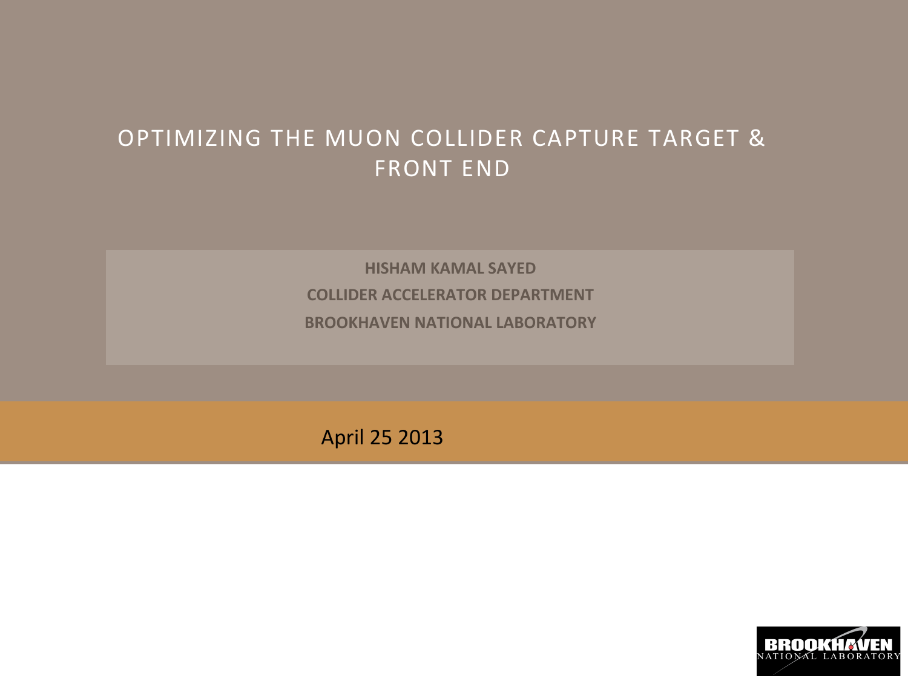## OPTIMIZING THE MUON COLLIDER CAPTURE TARGET & FRONT END

**HISHAM KAMAL SAYED COLLIDER ACCELERATOR DEPARTMENT BROOKHAVEN NATIONAL LABORATORY** 

April 25 2013 

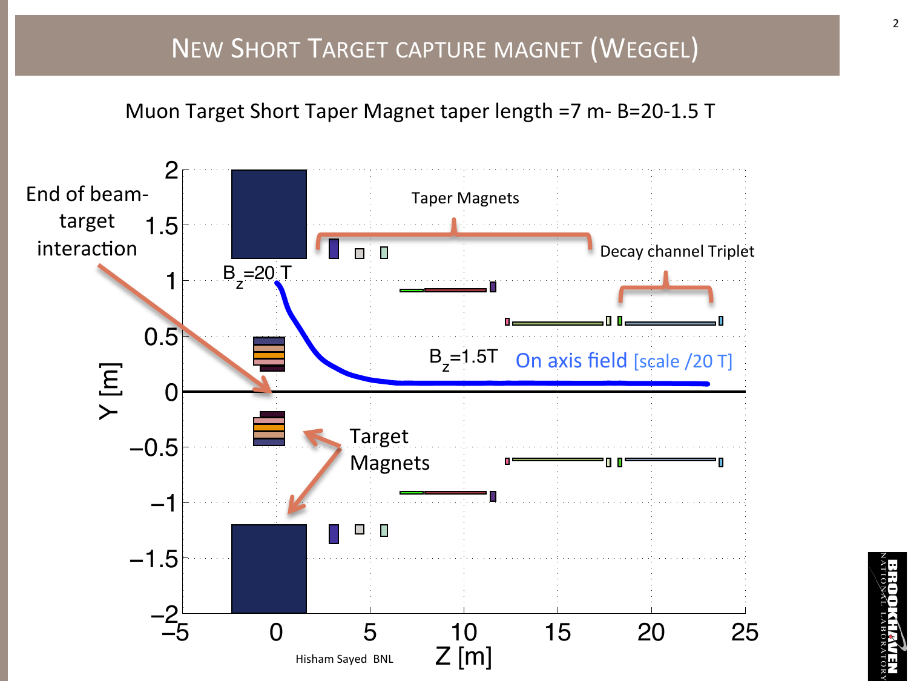## **NEW SHORT TARGET CAPTURE MAGNET (WEGGEL)**

Muon Target Short Taper Magnet taper length =7 m- B=20-1.5 T



KH*A*UEN<br>Laboratory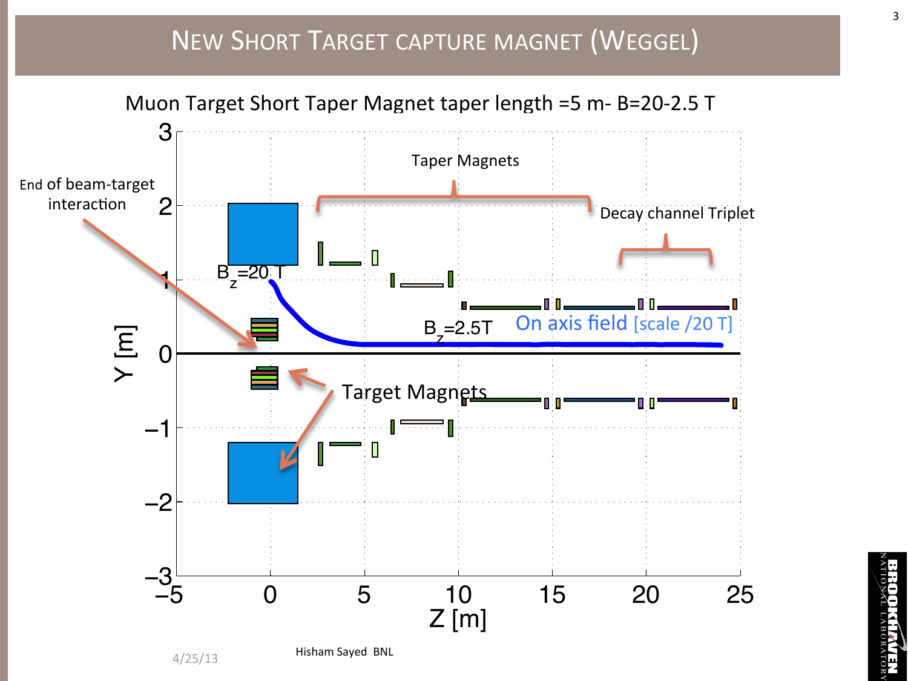## **NEW SHORT TARGET CAPTURE MAGNET (WEGGEL)**





KHANEN<br>LABORATOR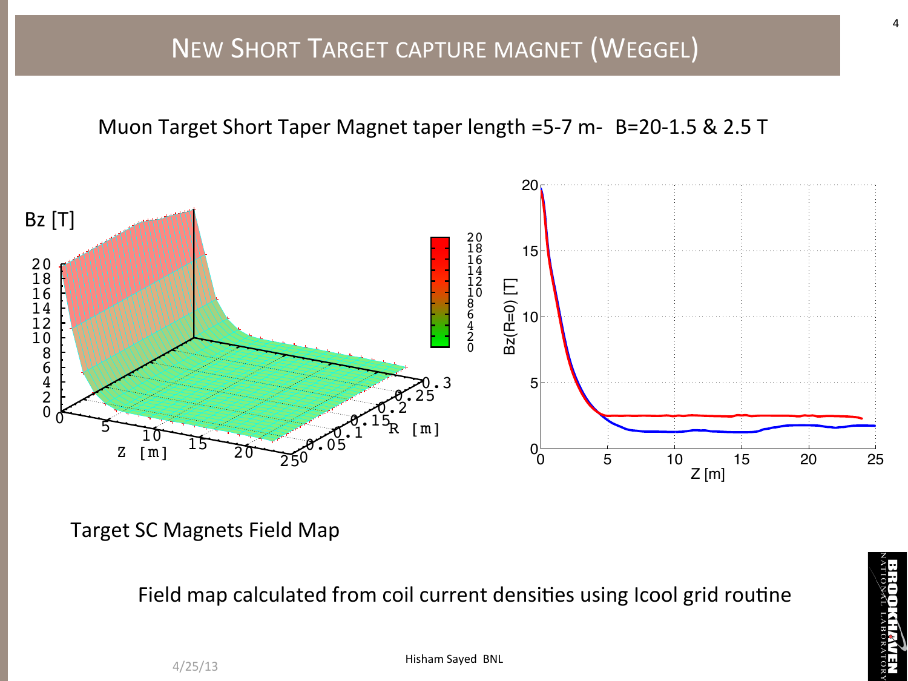## **NEW SHORT TARGET CAPTURE MAGNET (WEGGEL)**

Muon Target Short Taper Magnet taper length =5-7 m- B=20-1.5 & 2.5 T



Target SC Magnets Field Map

Field map calculated from coil current densities using Icool grid routine

Hisham Saved BNL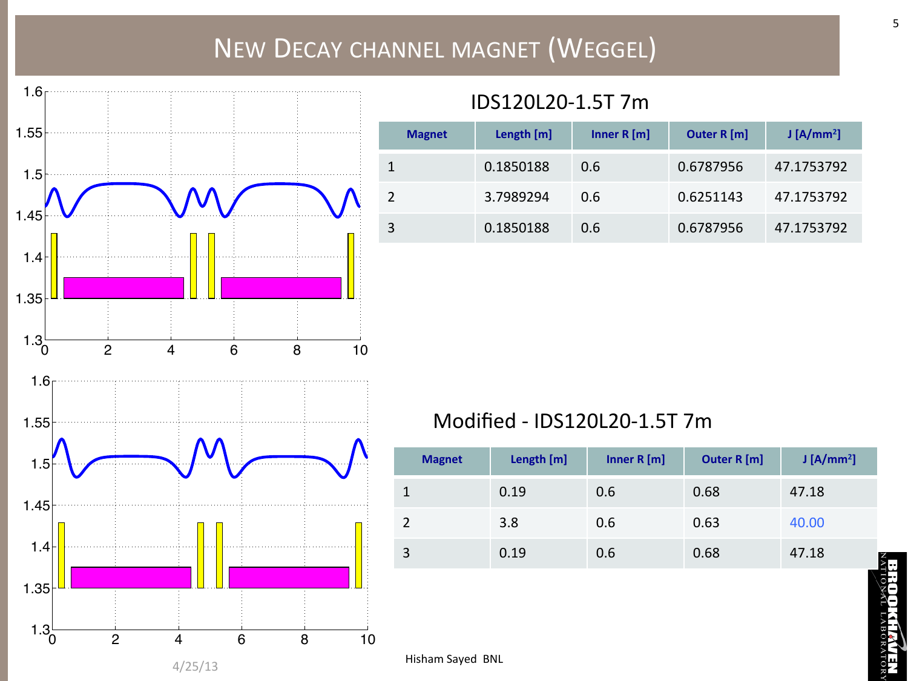# NEW DECAY CHANNEL MAGNET (WEGGEL)



### IDS120L20-1.5T 7m

| <b>Magnet</b> | Length [m] | Inner $R[m]$  | <b>Outer R [m]</b> | $J$ [A/mm <sup>2</sup> ] |
|---------------|------------|---------------|--------------------|--------------------------|
|               | 0.1850188  | $0.6^{\circ}$ | 0.6787956          | 47.1753792               |
|               | 3.7989294  | 0.6           | 0.6251143          | 47.1753792               |
| 3             | 0.1850188  | 0.6           | 0.6787956          | 47.1753792               |

#### Modified - IDS120L20-1.5T 7m

| <b>Magnet</b> | Length [m] | Inner $R[m]$ | <b>Outer R [m]</b> | $J$ [A/mm <sup>2</sup> ] |
|---------------|------------|--------------|--------------------|--------------------------|
|               | 0.19       | 0.6          | 0.68               | 47.18                    |
|               | 3.8        | 0.6          | 0.63               | 40.00                    |
|               | 0.19       | 0.6          | 0.68               | 47.18                    |

Hisham Sayed BNL